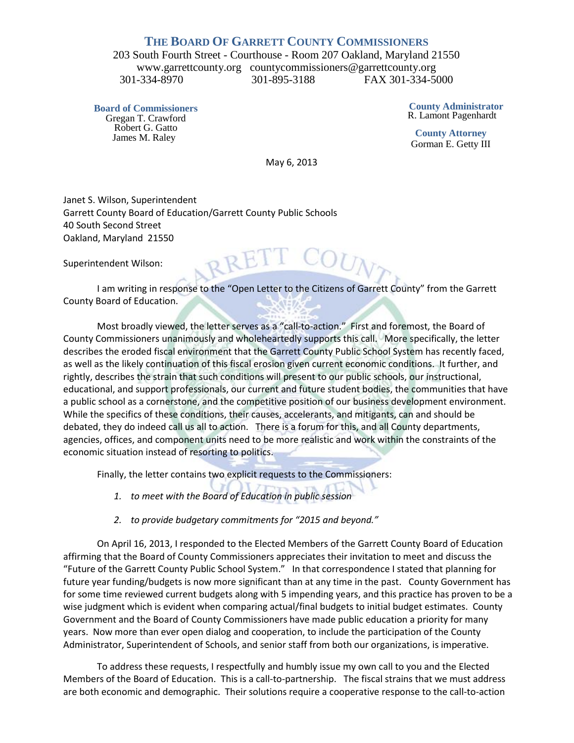## **THE BOARD OF GARRETT COUNTY COMMISSIONERS**

203 South Fourth Street - Courthouse - Room 207 Oakland, Maryland 21550 www.garrettcounty.org countycommissioners@garrettcounty.org 301-334-8970 301-895-3188 FAX 301-334-5000

**Board of Commissioners** Gregan T. Crawford Robert G. Gatto James M. Raley

**County Administrator** R. Lamont Pagenhardt

**County Attorney** Gorman E. Getty III

May 6, 2013

Janet S. Wilson, Superintendent Garrett County Board of Education/Garrett County Public Schools 40 South Second Street Oakland, Maryland 21550

RRE

Superintendent Wilson:

I am writing in response to the "Open Letter to the Citizens of Garrett County" from the Garrett County Board of Education.

Most broadly viewed, the letter serves as a "call-to-action." First and foremost, the Board of County Commissioners unanimously and wholeheartedly supports this call. More specifically, the letter describes the eroded fiscal environment that the Garrett County Public School System has recently faced, as well as the likely continuation of this fiscal erosion given current economic conditions. It further, and rightly, describes the strain that such conditions will present to our public schools, our instructional, educational, and support professionals, our current and future student bodies, the communities that have a public school as a cornerstone, and the competitive position of our business development environment. While the specifics of these conditions, their causes, accelerants, and mitigants, can and should be debated, they do indeed call us all to action. There is a forum for this, and all County departments, agencies, offices, and component units need to be more realistic and work within the constraints of the economic situation instead of resorting to politics.

Finally, the letter contains two explicit requests to the Commissioners:

- *1. to meet with the Board of Education in public session*
- *2. to provide budgetary commitments for "2015 and beyond."*

On April 16, 2013, I responded to the Elected Members of the Garrett County Board of Education affirming that the Board of County Commissioners appreciates their invitation to meet and discuss the "Future of the Garrett County Public School System." In that correspondence I stated that planning for future year funding/budgets is now more significant than at any time in the past. County Government has for some time reviewed current budgets along with 5 impending years, and this practice has proven to be a wise judgment which is evident when comparing actual/final budgets to initial budget estimates. County Government and the Board of County Commissioners have made public education a priority for many years. Now more than ever open dialog and cooperation, to include the participation of the County Administrator, Superintendent of Schools, and senior staff from both our organizations, is imperative.

To address these requests, I respectfully and humbly issue my own call to you and the Elected Members of the Board of Education. This is a call-to-partnership. The fiscal strains that we must address are both economic and demographic. Their solutions require a cooperative response to the call-to-action